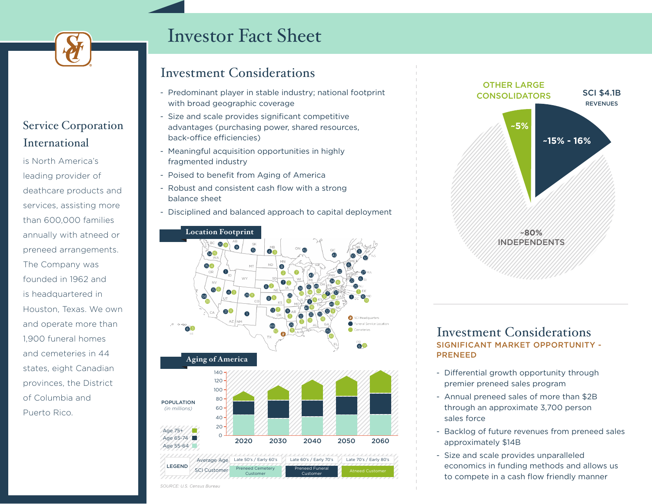

## Service Corporation International

is North America's leading provider of deathcare products and services, assisting more than 600,000 families annually with atneed or preneed arrangements. The Company was founded in 1962 and is headquartered in Houston, Texas. We own and operate more than 1,900 funeral homes and cemeteries in 44 states, eight Canadian provinces, the District of Columbia and Puerto Rico.

# Investor Fact Sheet

## Investment Considerations

- Predominant player in stable industry; national footprint with broad geographic coverage
- Size and scale provides significant competitive advantages (purchasing power, shared resources, back-office efficiencies)
- Meaningful acquisition opportunities in highly fragmented industry
- Poised to benefit from Aging of America
- Robust and consistent cash flow with a strong balance sheet
- Disciplined and balanced approach to capital deployment





#### SIGNIFICANT MARKET OPPORTUNITY - PRENEED Investment Considerations

- Differential growth opportunity through premier preneed sales program
- Annual preneed sales of more than \$2B through an approximate 3,700 person sales force
- Backlog of future revenues from preneed sales approximately \$14B
- Size and scale provides unparalleled economics in funding methods and allows us to compete in a cash flow friendly manner